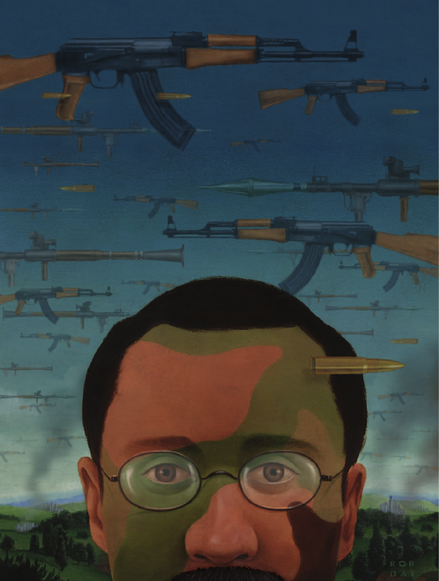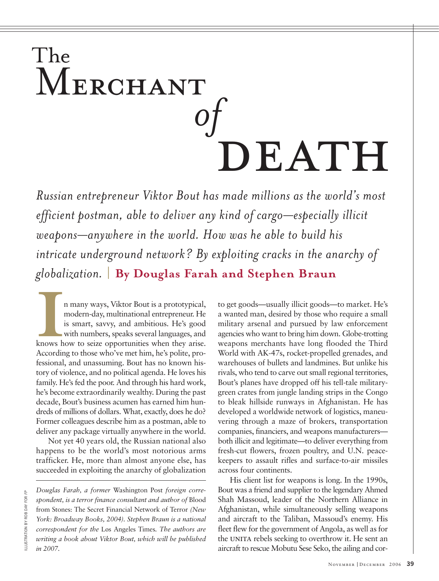# The The<br>MERCHANT *of* DEATH

*Russian entrepreneur Viktor Bout has made millions as the world's most efficient postman, able to deliver any kind of cargo—especially illicit weapons—anywhere in the world. How was he able to build his intricate underground network? By exploiting cracks in the anarchy of globalization.* **| By Douglas Farah and Stephen Braun** 

**I**<br> **I**<br> **I**<br> **Accordin** n many ways, Viktor Bout is a prototypical, modern-day, multinational entrepreneur. He is smart, savvy, and ambitious. He's good with numbers, speaks several languages, and knows how to seize opportunities when they arise. According to those who've met him, he's polite, professional, and unassuming. Bout has no known history of violence, and no political agenda. He loves his family. He's fed the poor. And through his hard work, he's become extraordinarily wealthy. During the past decade, Bout's business acumen has earned him hundreds of millions of dollars. What, exactly, does he do? Former colleagues describe him as a postman, able to deliver any package virtually anywhere in the world.

Not yet 40 years old, the Russian national also happens to be the world's most notorious arms trafficker. He, more than almost anyone else, has succeeded in exploiting the anarchy of globalization to get goods—usually illicit goods—to market. He's a wanted man, desired by those who require a small military arsenal and pursued by law enforcement agencies who want to bring him down. Globe-trotting weapons merchants have long flooded the Third World with AK-47s, rocket-propelled grenades, and warehouses of bullets and landmines. But unlike his rivals, who tend to carve out small regional territories, Bout's planes have dropped off his tell-tale militarygreen crates from jungle landing strips in the Congo to bleak hillside runways in Afghanistan. He has developed a worldwide network of logistics, maneuvering through a maze of brokers, transportation companies, financiers, and weapons manufacturers both illicit and legitimate—to deliver everything from fresh-cut flowers, frozen poultry, and U.N. peacekeepers to assault rifles and surface-to-air missiles across four continents.

His client list for weapons is long. In the 1990s, Bout was a friend and supplier to the legendary Ahmed Shah Massoud, leader of the Northern Alliance in Afghanistan, while simultaneously selling weapons and aircraft to the Taliban, Massoud's enemy. His fleet flew for the government of Angola, as well as for the UNITA rebels seeking to overthrow it. He sent an aircraft to rescue Mobutu Sese Seko, the ailing and cor-

*Douglas Farah, a former* Washington Post *foreign correspondent, is a terror finance consultant and author of* Blood from Stones: The Secret Financial Network of Terror *(New York: Broadway Books, 2004). Stephen Braun is a national correspondent for the* Los Angeles Times*. The authors are writing a book about Viktor Bout, which will be published in 2007.*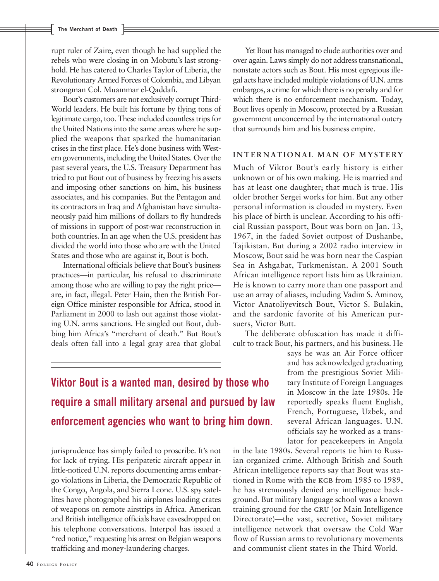rupt ruler of Zaire, even though he had supplied the rebels who were closing in on Mobutu's last stronghold. He has catered to Charles Taylor of Liberia, the Revolutionary Armed Forces of Colombia, and Libyan strongman Col. Muammar el-Qaddafi.

Bout's customers are not exclusively corrupt Third-World leaders. He built his fortune by flying tons of legitimate cargo, too. These included countless trips for the United Nations into the same areas where he supplied the weapons that sparked the humanitarian crises in the first place. He's done business with Western governments, including the United States. Over the past several years, the U.S. Treasury Department has tried to put Bout out of business by freezing his assets and imposing other sanctions on him, his business associates, and his companies. But the Pentagon and its contractors in Iraq and Afghanistan have simultaneously paid him millions of dollars to fly hundreds of missions in support of post-war reconstruction in both countries. In an age when the U.S. president has divided the world into those who are with the United States and those who are against it, Bout is both.

International officials believe that Bout's business practices—in particular, his refusal to discriminate among those who are willing to pay the right price are, in fact, illegal. Peter Hain, then the British Foreign Office minister responsible for Africa, stood in Parliament in 2000 to lash out against those violating U.N. arms sanctions. He singled out Bout, dubbing him Africa's "merchant of death." But Bout's deals often fall into a legal gray area that global

Yet Bout has managed to elude authorities over and over again. Laws simply do not address transnational, nonstate actors such as Bout. His most egregious illegal acts have included multiple violations of U.N. arms embargos, a crime for which there is no penalty and for which there is no enforcement mechanism. Today, Bout lives openly in Moscow, protected by a Russian government unconcerned by the international outcry that surrounds him and his business empire.

#### **INTERNATIONAL MAN OF MYSTERY**

Much of Viktor Bout's early history is either unknown or of his own making. He is married and has at least one daughter; that much is true. His older brother Sergei works for him. But any other personal information is clouded in mystery. Even his place of birth is unclear. According to his official Russian passport, Bout was born on Jan. 13, 1967, in the faded Soviet outpost of Dushanbe, Tajikistan. But during a 2002 radio interview in Moscow, Bout said he was born near the Caspian Sea in Ashgabat, Turkmenistan. A 2001 South African intelligence report lists him as Ukrainian. He is known to carry more than one passport and use an array of aliases, including Vadim S. Aminov, Victor Anatoliyevitsch Bout, Victor S. Bulakin, and the sardonic favorite of his American pursuers, Victor Butt.

The deliberate obfuscation has made it difficult to track Bout, his partners, and his business. He

> says he was an Air Force officer and has acknowledged graduating from the prestigious Soviet Military Institute of Foreign Languages in Moscow in the late 1980s. He reportedly speaks fluent English, French, Portuguese, Uzbek, and several African languages. U.N. officials say he worked as a translator for peacekeepers in Angola

in the late 1980s. Several reports tie him to Russian organized crime. Although British and South African intelligence reports say that Bout was stationed in Rome with the KGB from 1985 to 1989, he has strenuously denied any intelligence background. But military language school was a known training ground for the gru (or Main Intelligence Directorate)—the vast, secretive, Soviet military intelligence network that oversaw the Cold War flow of Russian arms to revolutionary movements and communist client states in the Third World.

### **Viktor Bout is a wanted man, desired by those who require a small military arsenal and pursued by law enforcement agencies who want to bring him down.**

jurisprudence has simply failed to proscribe. It's not for lack of trying. His peripatetic aircraft appear in little-noticed U.N. reports documenting arms embargo violations in Liberia, the Democratic Republic of the Congo, Angola, and Sierra Leone. U.S. spy satellites have photographed his airplanes loading crates of weapons on remote airstrips in Africa. American and British intelligence officials have eavesdropped on his telephone conversations. Interpol has issued a "red notice," requesting his arrest on Belgian weapons trafficking and money-laundering charges.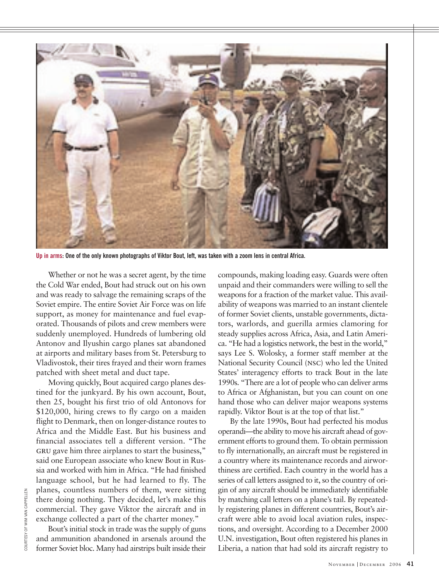

**Up in arms: One of the only known photographs of Viktor Bout, left, was taken with a zoom lens in central Africa.**

Whether or not he was a secret agent, by the time the Cold War ended, Bout had struck out on his own and was ready to salvage the remaining scraps of the Soviet empire. The entire Soviet Air Force was on life support, as money for maintenance and fuel evaporated. Thousands of pilots and crew members were suddenly unemployed. Hundreds of lumbering old Antonov and Ilyushin cargo planes sat abandoned at airports and military bases from St. Petersburg to Vladivostok, their tires frayed and their worn frames patched with sheet metal and duct tape.

Moving quickly, Bout acquired cargo planes destined for the junkyard. By his own account, Bout, then 25, bought his first trio of old Antonovs for \$120,000, hiring crews to fly cargo on a maiden flight to Denmark, then on longer-distance routes to Africa and the Middle East. But his business and financial associates tell a different version. "The GRU gave him three airplanes to start the business," said one European associate who knew Bout in Russia and worked with him in Africa. "He had finished language school, but he had learned to fly. The planes, countless numbers of them, were sitting there doing nothing. They decided, let's make this commercial. They gave Viktor the aircraft and in exchange collected a part of the charter money."

Bout's initial stock in trade was the supply of guns and ammunition abandoned in arsenals around the former Soviet bloc. Many had airstrips built inside their compounds, making loading easy. Guards were often unpaid and their commanders were willing to sell the weapons for a fraction of the market value. This availability of weapons was married to an instant clientele of former Soviet clients, unstable governments, dictators, warlords, and guerilla armies clamoring for steady supplies across Africa, Asia, and Latin America. "He had a logistics network, the best in the world," says Lee S. Wolosky, a former staff member at the National Security Council (nsc) who led the United States' interagency efforts to track Bout in the late 1990s. "There are a lot of people who can deliver arms to Africa or Afghanistan, but you can count on one hand those who can deliver major weapons systems rapidly. Viktor Bout is at the top of that list."

By the late 1990s, Bout had perfected his modus operandi—the ability to move his aircraft ahead of government efforts to ground them. To obtain permission to fly internationally, an aircraft must be registered in a country where its maintenance records and airworthiness are certified. Each country in the world has a series of call letters assigned to it, so the country of origin of any aircraft should be immediately identifiable by matching call letters on a plane's tail. By repeatedly registering planes in different countries, Bout's aircraft were able to avoid local aviation rules, inspections, and oversight. According to a December 2000 U.N. investigation, Bout often registered his planes in Liberia, a nation that had sold its aircraft registry to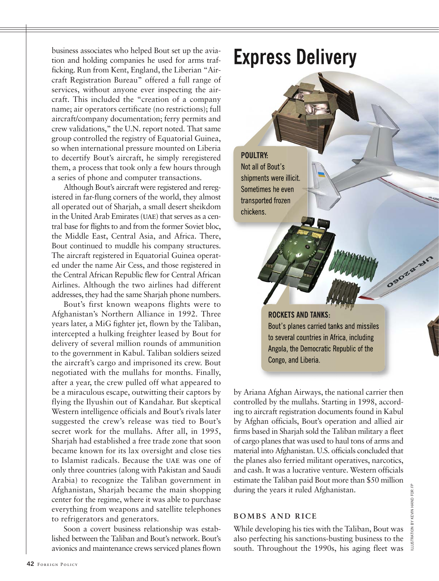business associates who helped Bout set up the aviation and holding companies he used for arms trafficking. Run from Kent, England, the Liberian "Aircraft Registration Bureau" offered a full range of services, without anyone ever inspecting the aircraft. This included the "creation of a company name; air operators certificate (no restrictions); full aircraft/company documentation; ferry permits and crew validations," the U.N. report noted. That same group controlled the registry of Equatorial Guinea, so when international pressure mounted on Liberia to decertify Bout's aircraft, he simply reregistered them, a process that took only a few hours through a series of phone and computer transactions.

Although Bout's aircraft were registered and reregistered in far-flung corners of the world, they almost all operated out of Sharjah, a small desert sheikdom in the United Arab Emirates (UAE) that serves as a central base for flights to and from the former Soviet bloc, the Middle East, Central Asia, and Africa. There, Bout continued to muddle his company structures. The aircraft registered in Equatorial Guinea operated under the name Air Cess, and those registered in the Central African Republic flew for Central African Airlines. Although the two airlines had different addresses, they had the same Sharjah phone numbers.

Bout's first known weapons flights were to Afghanistan's Northern Alliance in 1992. Three years later, a MiG fighter jet, flown by the Taliban, intercepted a hulking freighter leased by Bout for delivery of several million rounds of ammunition to the government in Kabul. Taliban soldiers seized the aircraft's cargo and imprisoned its crew. Bout negotiated with the mullahs for months. Finally, after a year, the crew pulled off what appeared to be a miraculous escape, outwitting their captors by flying the Ilyushin out of Kandahar. But skeptical Western intelligence officials and Bout's rivals later suggested the crew's release was tied to Bout's secret work for the mullahs. After all, in 1995, Sharjah had established a free trade zone that soon became known for its lax oversight and close ties to Islamist radicals. Because the UAE was one of only three countries (along with Pakistan and Saudi Arabia) to recognize the Taliban government in Afghanistan, Sharjah became the main shopping center for the regime, where it was able to purchase everything from weapons and satellite telephones to refrigerators and generators.

Soon a covert business relationship was established between the Taliban and Bout's network. Bout's avionics and maintenance crews serviced planes flown

### **Express Delivery**

**POULTRY:** Not all of Bout's shipments were illicit. Sometimes he even transported frozen chickens.

**ROCKETS AND TANKS:** 

Bout's planes carried tanks and missiles to several countries in Africa, including Angola, the Democratic Republic of the Congo, and Liberia.

by Ariana Afghan Airways, the national carrier then controlled by the mullahs. Starting in 1998, according to aircraft registration documents found in Kabul by Afghan officials, Bout's operation and allied air firms based in Sharjah sold the Taliban military a fleet of cargo planes that was used to haul tons of arms and material into Afghanistan. U.S. officials concluded that the planes also ferried militant operatives, narcotics, and cash. It was a lucrative venture. Western officials estimate the Taliban paid Bout more than \$50 million during the years it ruled Afghanistan.

#### **BOMBS AND RICE**

While developing his ties with the Taliban, Bout was also perfecting his sanctions-busting business to the south. Throughout the 1990s, his aging fleet was

OBOL BTDC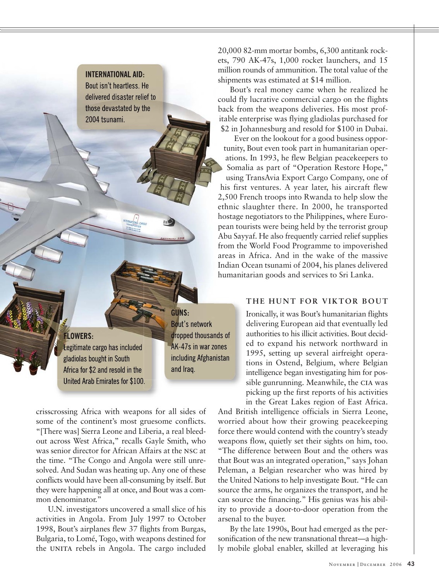**INTERNATIONAL AID:** Bout isn't heartless. He delivered disaster relief to those devastated by the 2004 tsunami.

#### **FLOWERS:**

Legitimate cargo has included gladiolas bought in South Africa for \$2 and resold in the United Arab Emirates for \$100. **GUNS:** 

**Bout's network** dropped thousands of AK-47s in war zones including Afghanistan and Iraq.

crisscrossing Africa with weapons for all sides of some of the continent's most gruesome conflicts. "[There was] Sierra Leone and Liberia, a real bleedout across West Africa," recalls Gayle Smith, who was senior director for African Affairs at the nsc at the time. "The Congo and Angola were still unresolved. And Sudan was heating up. Any one of these conflicts would have been all-consuming by itself. But they were happening all at once, and Bout was a common denominator."

U.N. investigators uncovered a small slice of his activities in Angola. From July 1997 to October 1998, Bout's airplanes flew 37 flights from Burgas, Bulgaria, to Lomé, Togo, with weapons destined for the UNITA rebels in Angola. The cargo included 20,000 82-mm mortar bombs, 6,300 antitank rockets, 790 AK-47s, 1,000 rocket launchers, and 15 million rounds of ammunition. The total value of the shipments was estimated at \$14 million.

Bout's real money came when he realized he could fly lucrative commercial cargo on the flights back from the weapons deliveries. His most profitable enterprise was flying gladiolas purchased for \$2 in Johannesburg and resold for \$100 in Dubai.

Ever on the lookout for a good business opportunity, Bout even took part in humanitarian operations. In 1993, he flew Belgian peacekeepers to Somalia as part of "Operation Restore Hope," using TransAvia Export Cargo Company, one of his first ventures. A year later, his aircraft flew 2,500 French troops into Rwanda to help slow the ethnic slaughter there. In 2000, he transported hostage negotiators to the Philippines, where European tourists were being held by the terrorist group Abu Sayyaf. He also frequently carried relief supplies from the World Food Programme to impoverished areas in Africa. And in the wake of the massive Indian Ocean tsunami of 2004, his planes delivered humanitarian goods and services to Sri Lanka.

#### **THE HUNT FOR VIKTOR BOUT**

Ironically, it was Bout's humanitarian flights delivering European aid that eventually led authorities to his illicit activities. Bout decided to expand his network northward in 1995, setting up several airfreight operations in Ostend, Belgium, where Belgian intelligence began investigating him for possible gunrunning. Meanwhile, the CIA was picking up the first reports of his activities in the Great Lakes region of East Africa.

And British intelligence officials in Sierra Leone, worried about how their growing peacekeeping force there would contend with the country's steady weapons flow, quietly set their sights on him, too. "The difference between Bout and the others was that Bout was an integrated operation," says Johan Peleman, a Belgian researcher who was hired by the United Nations to help investigate Bout. "He can source the arms, he organizes the transport, and he can source the financing." His genius was his ability to provide a door-to-door operation from the arsenal to the buyer.

By the late 1990s, Bout had emerged as the personification of the new transnational threat—a highly mobile global enabler, skilled at leveraging his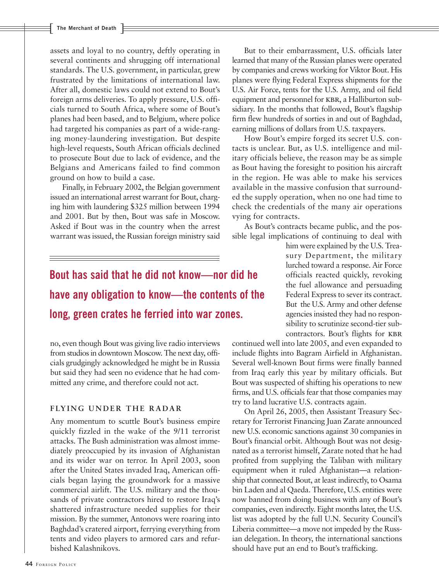assets and loyal to no country, deftly operating in several continents and shrugging off international standards. The U.S. government, in particular, grew frustrated by the limitations of international law. After all, domestic laws could not extend to Bout's foreign arms deliveries. To apply pressure, U.S. officials turned to South Africa, where some of Bout's planes had been based, and to Belgium, where police had targeted his companies as part of a wide-ranging money-laundering investigation. But despite high-level requests, South African officials declined to prosecute Bout due to lack of evidence, and the Belgians and Americans failed to find common ground on how to build a case.

Finally, in February 2002, the Belgian government issued an international arrest warrant for Bout, charging him with laundering \$325 million between 1994 and 2001. But by then, Bout was safe in Moscow. Asked if Bout was in the country when the arrest warrant was issued, the Russian foreign ministry said

**Bout has said that he did not know—nor did he have any obligation to know—the contents of the long, green crates he ferried into war zones.** 

no, even though Bout was giving live radio interviews from studios in downtown Moscow. The next day, officials grudgingly acknowledged he might be in Russia but said they had seen no evidence that he had committed any crime, and therefore could not act.

#### **FLYING UNDER THE RADAR**

Any momentum to scuttle Bout's business empire quickly fizzled in the wake of the 9/11 terrorist attacks. The Bush administration was almost immediately preoccupied by its invasion of Afghanistan and its wider war on terror. In April 2003, soon after the United States invaded Iraq, American officials began laying the groundwork for a massive commercial airlift. The U.S. military and the thousands of private contractors hired to restore Iraq's shattered infrastructure needed supplies for their mission. By the summer, Antonovs were roaring into Baghdad's cratered airport, ferrying everything from tents and video players to armored cars and refurbished Kalashnikovs.

**44** Foreign Policy

But to their embarrassment, U.S. officials later learned that many of the Russian planes were operated by companies and crews working for Viktor Bout. His planes were flying Federal Express shipments for the U.S. Air Force, tents for the U.S. Army, and oil field equipment and personnel for KBR, a Halliburton subsidiary. In the months that followed, Bout's flagship firm flew hundreds of sorties in and out of Baghdad, earning millions of dollars from U.S. taxpayers.

How Bout's empire forged its secret U.S. contacts is unclear. But, as U.S. intelligence and military officials believe, the reason may be as simple as Bout having the foresight to position his aircraft in the region. He was able to make his services available in the massive confusion that surrounded the supply operation, when no one had time to check the credentials of the many air operations vying for contracts.

As Bout's contracts became public, and the possible legal implications of continuing to deal with

> him were explained by the U.S. Treasury Department, the military lurched toward a response. Air Force officials reacted quickly, revoking the fuel allowance and persuading Federal Express to sever its contract. But the U.S. Army and other defense agencies insisted they had no responsibility to scrutinize second-tier subcontractors. Bout's flights for KBR

continued well into late 2005, and even expanded to include flights into Bagram Airfield in Afghanistan. Several well-known Bout firms were finally banned from Iraq early this year by military officials. But Bout was suspected of shifting his operations to new firms, and U.S. officials fear that those companies may try to land lucrative U.S. contracts again.

On April 26, 2005, then Assistant Treasury Secretary for Terrorist Financing Juan Zarate announced new U.S. economic sanctions against 30 companies in Bout's financial orbit. Although Bout was not designated as a terrorist himself, Zarate noted that he had profited from supplying the Taliban with military equipment when it ruled Afghanistan—a relationship that connected Bout, at least indirectly, to Osama bin Laden and al Qaeda. Therefore, U.S. entities were now banned from doing business with any of Bout's companies, even indirectly. Eight months later, the U.S. list was adopted by the full U.N. Security Council's Liberia committee—a move not impeded by the Russian delegation. In theory, the international sanctions should have put an end to Bout's trafficking.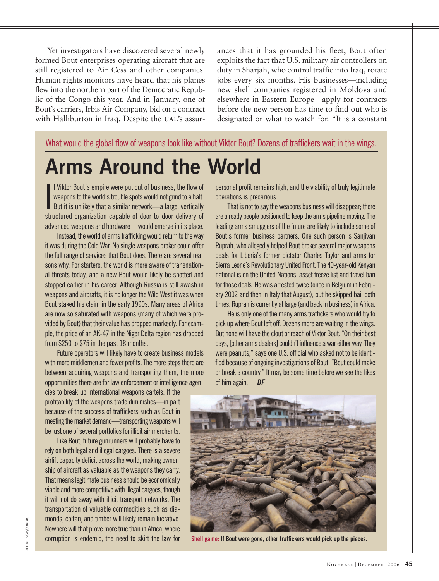Yet investigators have discovered several newly formed Bout enterprises operating aircraft that are still registered to Air Cess and other companies. Human rights monitors have heard that his planes flew into the northern part of the Democratic Republic of the Congo this year. And in January, one of Bout's carriers, Irbis Air Company, bid on a contract with Halliburton in Iraq. Despite the UAE's assurances that it has grounded his fleet, Bout often exploits the fact that U.S. military air controllers on duty in Sharjah, who control traffic into Iraq, rotate jobs every six months. His businesses—including new shell companies registered in Moldova and elsewhere in Eastern Europe—apply for contracts before the new person has time to find out who is designated or what to watch for. "It is a constant

What would the global flow of weapons look like without Viktor Bout? Dozens of traffickers wait in the wings.

## **Arms Around the World**

If Viktor Bout's empire were put out of business, the flow of<br>weapons to the world's trouble spots would not grind to a halt.<br>But it is unlikely that a similar network—a large, vertically<br>attuatured argonization cannot be f Viktor Bout's empire were put out of business, the flow of weapons to the world's trouble spots would not grind to a halt. structured organization capable of door-to-door delivery of advanced weapons and hardware—would emerge in its place.

Instead, the world of arms trafficking would return to the way it was during the Cold War. No single weapons broker could offer the full range of services that Bout does. There are several reasons why. For starters, the world is more aware of transnational threats today, and a new Bout would likely be spotted and stopped earlier in his career. Although Russia is still awash in weapons and aircrafts, it is no longer the Wild West it was when Bout staked his claim in the early 1990s. Many areas of Africa are now so saturated with weapons (many of which were provided by Bout) that their value has dropped markedly. For example, the price of an AK-47 in the Niger Delta region has dropped from \$250 to \$75 in the past 18 months.

Future operators will likely have to create business models with more middlemen and fewer profits. The more steps there are between acquiring weapons and transporting them, the more opportunities there are for law enforcement or intelligence agen-

cies to break up international weapons cartels. If the profitability of the weapons trade diminishes—in part because of the success of traffickers such as Bout in meeting the market demand—transporting weapons will be just one of several portfolios for illicit air merchants.

Like Bout, future gunrunners will probably have to rely on both legal and illegal cargoes. There is a severe airlift capacity deficit across the world, making ownership of aircraft as valuable as the weapons they carry. That means legitimate business should be economically viable and more competitive with illegal cargoes, though it will not do away with illicit transport networks. The transportation of valuable commodities such as diamonds, coltan, and timber will likely remain lucrative. Nowhere will that prove more true than in Africa, where corruption is endemic, the need to skirt the law for

personal profit remains high, and the viability of truly legitimate operations is precarious.

That is not to say the weapons business will disappear; there are already people positioned to keep the arms pipeline moving. The leading arms smugglers of the future are likely to include some of Bout's former business partners. One such person is Saniivan Ruprah, who allegedly helped Bout broker several major weapons deals for Liberia's former dictator Charles Taylor and arms for Sierra Leone's Revolutionary United Front. The 40-year-old Kenyan national is on the United Nations' asset freeze list and travel ban for those deals. He was arrested twice (once in Belgium in February 2002 and then in Italy that August), but he skipped bail both times. Ruprah is currently at large (and back in business) in Africa.

He is only one of the many arms traffickers who would try to pick up where Bout left off. Dozens more are waiting in the wings. But none will have the clout or reach of Viktor Bout. "On their best days, [other arms dealers] couldn't influence a war either way. They were peanuts," says one U.S. official who asked not to be identified because of ongoing investigations of Bout. "Bout could make or break a country." It may be some time before we see the likes of him again. —*DF*



**Shell game: If Bout were gone, other traffickers would pick up the pieces.**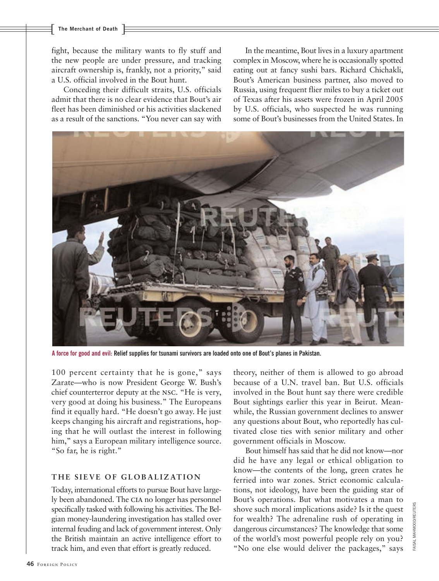fight, because the military wants to fly stuff and the new people are under pressure, and tracking aircraft ownership is, frankly, not a priority," said a U.S. official involved in the Bout hunt.

Conceding their difficult straits, U.S. officials admit that there is no clear evidence that Bout's air fleet has been diminished or his activities slackened as a result of the sanctions. "You never can say with

In the meantime, Bout lives in a luxury apartment complex in Moscow, where he is occasionally spotted eating out at fancy sushi bars. Richard Chichakli, Bout's American business partner, also moved to Russia, using frequent flier miles to buy a ticket out of Texas after his assets were frozen in April 2005 by U.S. officials, who suspected he was running some of Bout's businesses from the United States. In



**A force for good and evil: Relief supplies for tsunami survivors are loaded onto one of Bout's planes in Pakistan.**

100 percent certainty that he is gone," says Zarate—who is now President George W. Bush's chief counterterror deputy at the nsc. "He is very, very good at doing his business." The Europeans find it equally hard. "He doesn't go away. He just keeps changing his aircraft and registrations, hoping that he will outlast the interest in following him," says a European military intelligence source. "So far, he is right."

#### **THE SIEVE OF GLOBALIZATION**

Today, international efforts to pursue Bout have largely been abandoned. The CIA no longer has personnel specifically tasked with following his activities. The Belgian money-laundering investigation has stalled over internal feuding and lack of government interest. Only the British maintain an active intelligence effort to track him, and even that effort is greatly reduced.

theory, neither of them is allowed to go abroad because of a U.N. travel ban. But U.S. officials involved in the Bout hunt say there were credible Bout sightings earlier this year in Beirut. Meanwhile, the Russian government declines to answer any questions about Bout, who reportedly has cultivated close ties with senior military and other government officials in Moscow.

Bout himself has said that he did not know—nor did he have any legal or ethical obligation to know—the contents of the long, green crates he ferried into war zones. Strict economic calculations, not ideology, have been the guiding star of Bout's operations. But what motivates a man to shove such moral implications aside? Is it the quest for wealth? The adrenaline rush of operating in dangerous circumstances? The knowledge that some of the world's most powerful people rely on you? "No one else would deliver the packages," says